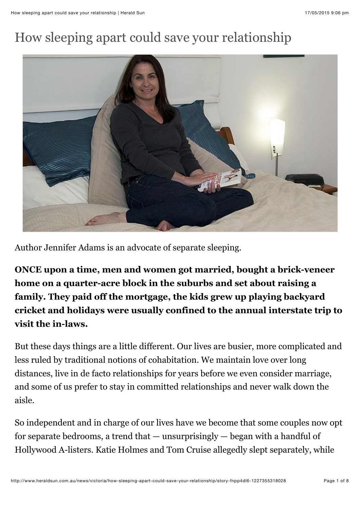## How sleeping apart could save your relationship



Author Jennifer Adams is an advocate of separate sleeping.

**ONCE upon a time, men and women got married, bought a brick-veneer home on a quarter-acre block in the suburbs and set about raising a family. They paid off the mortgage, the kids grew up playing backyard cricket and holidays were usually confined to the annual interstate trip to visit the in-laws.**

But these days things are a little different. Our lives are busier, more complicated and less ruled by traditional notions of cohabitation. We maintain love over long distances, live in de facto relationships for years before we even consider marriage, and some of us prefer to stay in committed relationships and never walk down the aisle.

So independent and in charge of our lives have we become that some couples now opt for separate bedrooms, a trend that — unsurprisingly — began with a handful of Hollywood A-listers. Katie Holmes and Tom Cruise allegedly slept separately, while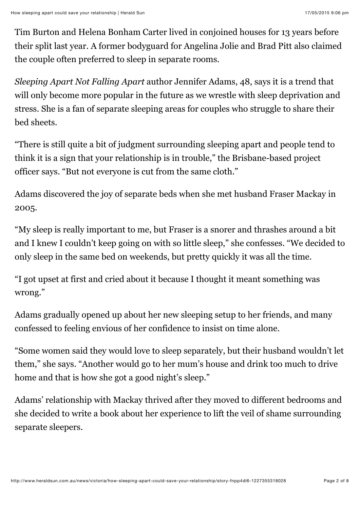Tim Burton and Helena Bonham Carter lived in conjoined houses for 13 years before their split last year. A former bodyguard for Angelina Jolie and Brad Pitt also claimed the couple often preferred to sleep in separate rooms.

*Sleeping Apart Not Falling Apart* author Jennifer Adams, 48, says it is a trend that will only become more popular in the future as we wrestle with sleep deprivation and stress. She is a fan of separate sleeping areas for couples who struggle to share their bed sheets.

"There is still quite a bit of judgment surrounding sleeping apart and people tend to think it is a sign that your relationship is in trouble," the Brisbane-based project officer says. "But not everyone is cut from the same cloth."

Adams discovered the joy of separate beds when she met husband Fraser Mackay in 2005.

"My sleep is really important to me, but Fraser is a snorer and thrashes around a bit and I knew I couldn't keep going on with so little sleep," she confesses. "We decided to only sleep in the same bed on weekends, but pretty quickly it was all the time.

"I got upset at first and cried about it because I thought it meant something was wrong."

Adams gradually opened up about her new sleeping setup to her friends, and many confessed to feeling envious of her confidence to insist on time alone.

"Some women said they would love to sleep separately, but their husband wouldn't let them," she says. "Another would go to her mum's house and drink too much to drive home and that is how she got a good night's sleep."

Adams' relationship with Mackay thrived after they moved to different bedrooms and she decided to write a book about her experience to lift the veil of shame surrounding separate sleepers.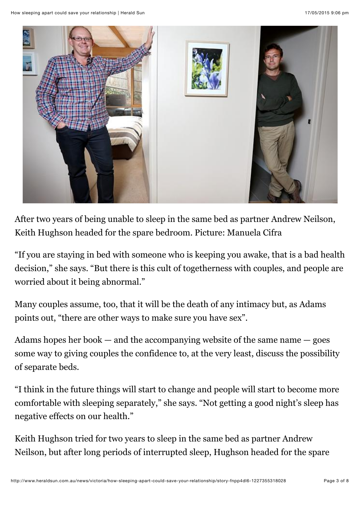

After two years of being unable to sleep in the same bed as partner Andrew Neilson, Keith Hughson headed for the spare bedroom. Picture: Manuela Cifra

"If you are staying in bed with someone who is keeping you awake, that is a bad health decision," she says. "But there is this cult of togetherness with couples, and people are worried about it being abnormal."

Many couples assume, too, that it will be the death of any intimacy but, as Adams points out, "there are other ways to make sure you have sex".

Adams hopes her book — and the accompanying website of the same name — goes some way to giving couples the confidence to, at the very least, discuss the possibility of separate beds.

"I think in the future things will start to change and people will start to become more comfortable with sleeping separately," she says. "Not getting a good night's sleep has negative effects on our health."

Keith Hughson tried for two years to sleep in the same bed as partner Andrew Neilson, but after long periods of interrupted sleep, Hughson headed for the spare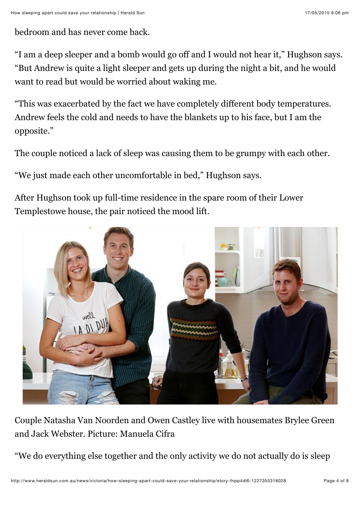bedroom and has never come back.

"I am a deep sleeper and a bomb would go off and I would not hear it," Hughson says. "But Andrew is quite a light sleeper and gets up during the night a bit, and he would want to read but would be worried about waking me.

"This was exacerbated by the fact we have completely different body temperatures. Andrew feels the cold and needs to have the blankets up to his face, but I am the opposite."

The couple noticed a lack of sleep was causing them to be grumpy with each other.

"We just made each other uncomfortable in bed," Hughson says.

After Hughson took up full-time residence in the spare room of their Lower Templestowe house, the pair noticed the mood lift.



Couple Natasha Van Noorden and Owen Castley live with housemates Brylee Green and Jack Webster. Picture: Manuela Cifra

"We do everything else together and the only activity we do not actually do is sleep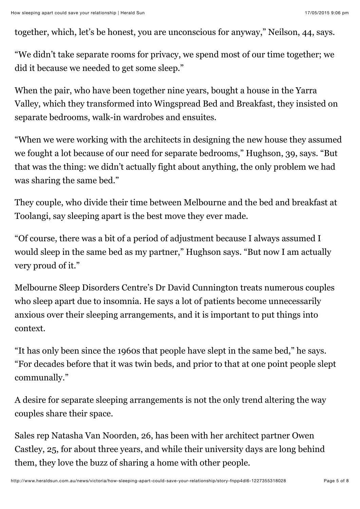together, which, let's be honest, you are unconscious for anyway," Neilson, 44, says.

"We didn't take separate rooms for privacy, we spend most of our time together; we did it because we needed to get some sleep."

When the pair, who have been together nine years, bought a house in the Yarra Valley, which they transformed into Wingspread Bed and Breakfast, they insisted on separate bedrooms, walk-in wardrobes and ensuites.

"When we were working with the architects in designing the new house they assumed we fought a lot because of our need for separate bedrooms," Hughson, 39, says. "But that was the thing: we didn't actually fight about anything, the only problem we had was sharing the same bed."

They couple, who divide their time between Melbourne and the bed and breakfast at Toolangi, say sleeping apart is the best move they ever made.

"Of course, there was a bit of a period of adjustment because I always assumed I would sleep in the same bed as my partner," Hughson says. "But now I am actually very proud of it."

Melbourne Sleep Disorders Centre's Dr David Cunnington treats numerous couples who sleep apart due to insomnia. He says a lot of patients become unnecessarily anxious over their sleeping arrangements, and it is important to put things into context.

"It has only been since the 1960s that people have slept in the same bed," he says. "For decades before that it was twin beds, and prior to that at one point people slept communally."

A desire for separate sleeping arrangements is not the only trend altering the way couples share their space.

Sales rep Natasha Van Noorden, 26, has been with her architect partner Owen Castley, 25, for about three years, and while their university days are long behind them, they love the buzz of sharing a home with other people.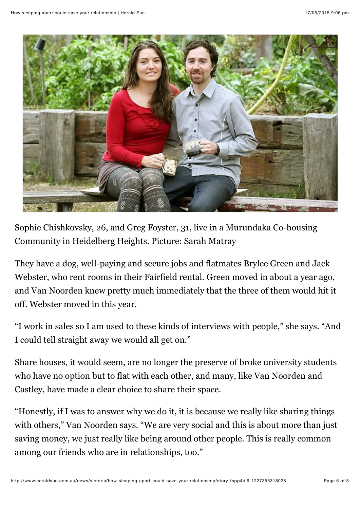

Sophie Chishkovsky, 26, and Greg Foyster, 31, live in a Murundaka Co-housing Community in Heidelberg Heights. Picture: Sarah Matray

They have a dog, well-paying and secure jobs and flatmates Brylee Green and Jack Webster, who rent rooms in their Fairfield rental. Green moved in about a year ago, and Van Noorden knew pretty much immediately that the three of them would hit it off. Webster moved in this year.

"I work in sales so I am used to these kinds of interviews with people," she says. "And I could tell straight away we would all get on."

Share houses, it would seem, are no longer the preserve of broke university students who have no option but to flat with each other, and many, like Van Noorden and Castley, have made a clear choice to share their space.

"Honestly, if I was to answer why we do it, it is because we really like sharing things with others," Van Noorden says. "We are very social and this is about more than just saving money, we just really like being around other people. This is really common among our friends who are in relationships, too."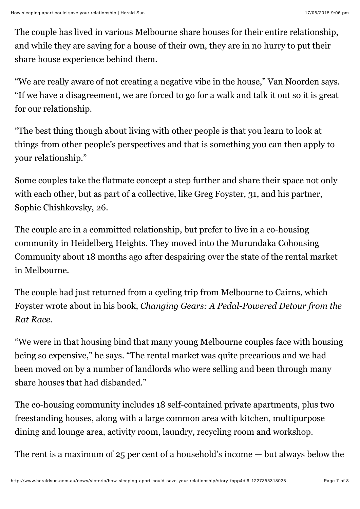The couple has lived in various Melbourne share houses for their entire relationship, and while they are saving for a house of their own, they are in no hurry to put their share house experience behind them.

"We are really aware of not creating a negative vibe in the house," Van Noorden says. "If we have a disagreement, we are forced to go for a walk and talk it out so it is great for our relationship.

"The best thing though about living with other people is that you learn to look at things from other people's perspectives and that is something you can then apply to your relationship."

Some couples take the flatmate concept a step further and share their space not only with each other, but as part of a collective, like Greg Foyster, 31, and his partner, Sophie Chishkovsky, 26.

The couple are in a committed relationship, but prefer to live in a co-housing community in Heidelberg Heights. They moved into the Murundaka Cohousing Community about 18 months ago after despairing over the state of the rental market in Melbourne.

The couple had just returned from a cycling trip from Melbourne to Cairns, which Foyster wrote about in his book, *Changing Gears: A Pedal-Powered Detour from the Rat Race*.

"We were in that housing bind that many young Melbourne couples face with housing being so expensive," he says. "The rental market was quite precarious and we had been moved on by a number of landlords who were selling and been through many share houses that had disbanded."

The co-housing community includes 18 self-contained private apartments, plus two freestanding houses, along with a large common area with kitchen, multipurpose dining and lounge area, activity room, laundry, recycling room and workshop.

The rent is a maximum of 25 per cent of a household's income — but always below the